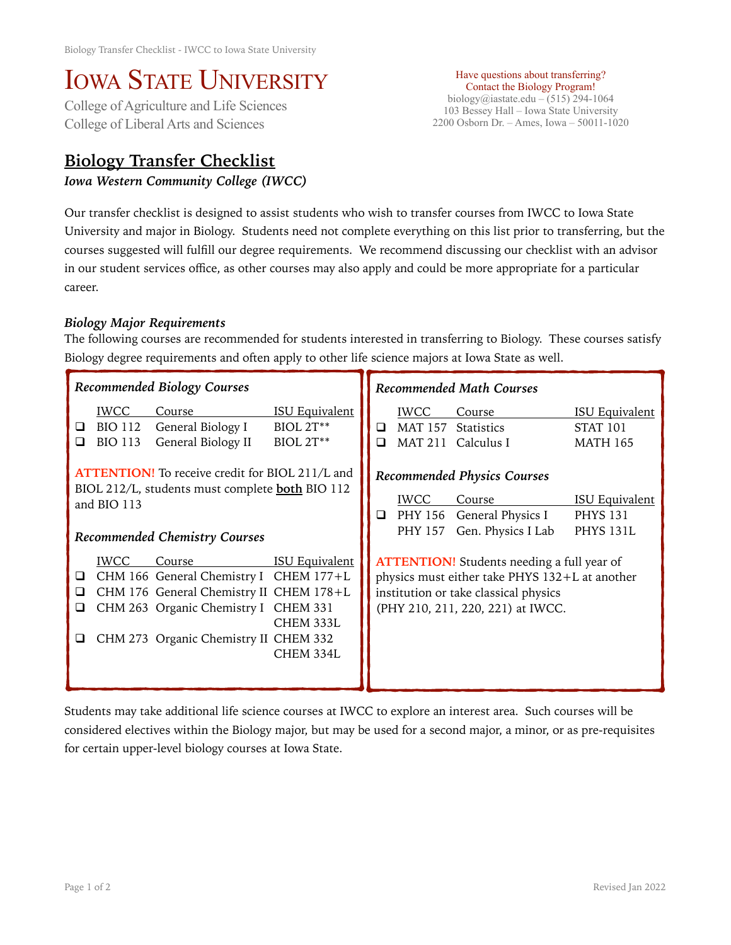# IOWA STATE UNIVERSITY<br>College of Agriculture and Life Sciences

College of Liberal Arts and Sciences

## **Biology Transfer Checklist**

### *Iowa Western Community College (IWCC)*

Have questions about transferring? Contact the Biology Program! biology@iastate.edu – (515) 294-1064 103 Bessey Hall – Iowa State University 2200 Osborn Dr. – Ames, Iowa – 50011-1020

Our transfer checklist is designed to assist students who wish to transfer courses from IWCC to Iowa State University and major in Biology. Students need not complete everything on this list prior to transferring, but the courses suggested will fulfill our degree requirements. We recommend discussing our checklist with an advisor in our student services office, as other courses may also apply and could be more appropriate for a particular career.

### *Biology Major Requirements*

The following courses are recommended for students interested in transferring to Biology. These courses satisfy Biology degree requirements and often apply to other life science majors at Iowa State as well.

| Recommended Biology Courses                                                                                                                                                                                                                                   | <b>Recommended Math Courses</b>                                                                                                                                                                |  |  |  |
|---------------------------------------------------------------------------------------------------------------------------------------------------------------------------------------------------------------------------------------------------------------|------------------------------------------------------------------------------------------------------------------------------------------------------------------------------------------------|--|--|--|
| <b>ISU Equivalent</b><br><b>IWCC</b><br>Course<br><b>BIOL 2T**</b><br><b>BIO 112</b><br>General Biology I<br>❏<br>General Biology II<br><b>BIOL 2T**</b><br><b>BIO 113</b><br>◻                                                                               | <b>IWCC</b><br><b>ISU Equivalent</b><br>Course<br><b>MAT 157</b><br>Statistics<br><b>STAT 101</b><br>❏<br><b>MAT 211</b><br>Calculus I<br><b>MATH 165</b><br>$\Box$                            |  |  |  |
| <b>ATTENTION!</b> To receive credit for BIOL 211/L and<br>BIOL 212/L, students must complete <b>both</b> BIO 112<br>and BIO 113<br>Recommended Chemistry Courses                                                                                              | <b>Recommended Physics Courses</b><br><b>ISU Equivalent</b><br><b>IWCC</b><br>Course<br>PHY 156 General Physics I<br><b>PHYS 131</b><br>□<br>Gen. Physics I Lab<br><b>PHYS 131L</b><br>PHY 157 |  |  |  |
| <b>ISU Equivalent</b><br><b>IWCC</b><br>Course<br>CHM 166 General Chemistry I CHEM 177+L<br>□<br>CHM 176 General Chemistry II CHEM 178+L<br>ப<br>CHM 263 Organic Chemistry I CHEM 331<br>⊔<br>CHEM 333L<br>CHM 273 Organic Chemistry II CHEM 332<br>CHEM 334L | <b>ATTENTION!</b> Students needing a full year of<br>physics must either take PHYS 132+L at another<br>institution or take classical physics<br>(PHY 210, 211, 220, 221) at IWCC.              |  |  |  |

Students may take additional life science courses at IWCC to explore an interest area. Such courses will be considered electives within the Biology major, but may be used for a second major, a minor, or as pre-requisites for certain upper-level biology courses at Iowa State.